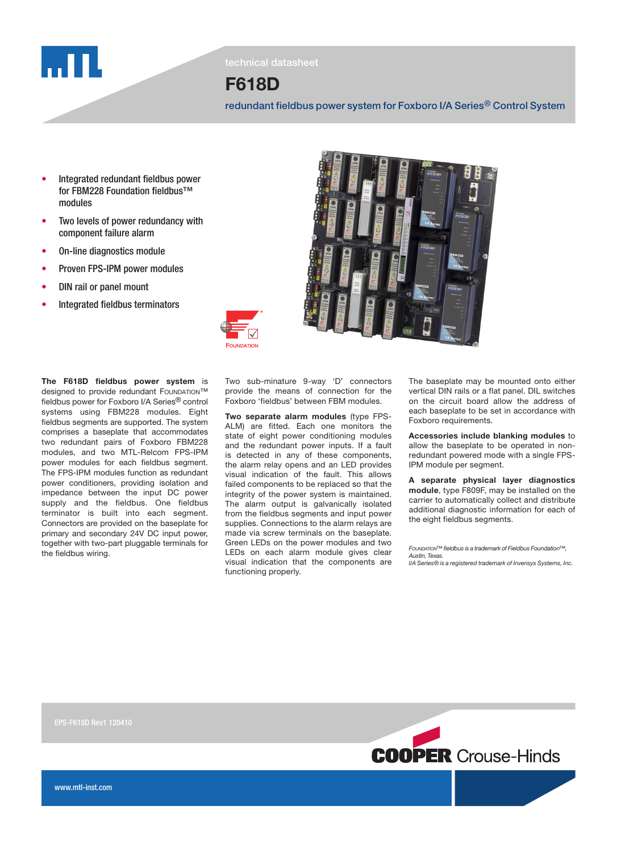

technical datasheet

# F618D

redundant fieldbus power system for Foxboro I/A Series® Control System

- Integrated redundant fieldbus power for FBM228 Foundation fieldbus™ modules
- Two levels of power redundancy with component failure alarm
- On-line diagnostics module
- Proven FPS-IPM power modules
- DIN rail or panel mount
- Integrated fieldbus terminators

The F618D fieldbus power system is designed to provide redundant FOUNDATION™ fieldbus power for Foxboro I/A Series® control systems using FBM228 modules. Eight fieldbus segments are supported. The system comprises a baseplate that accommodates two redundant pairs of Foxboro FBM228 modules, and two MTL-Relcom FPS-IPM power modules for each fieldbus segment. The FPS-IPM modules function as redundant power conditioners, providing isolation and impedance between the input DC power supply and the fieldbus. One fieldbus terminator is built into each segment. Connectors are provided on the baseplate for primary and secondary 24V DC input power, together with two-part pluggable terminals for the fieldbus wiring.

Two sub-minature 9-way 'D' connectors provide the means of connection for the Foxboro 'fieldbus' between FBM modules.

Two separate alarm modules (type FPS-ALM) are fitted. Each one monitors the state of eight power conditioning modules and the redundant power inputs. If a fault is detected in any of these components, the alarm relay opens and an LED provides visual indication of the fault. This allows failed components to be replaced so that the integrity of the power system is maintained. The alarm output is galvanically isolated from the fieldbus segments and input power supplies. Connections to the alarm relays are made via screw terminals on the baseplate. Green LEDs on the power modules and two LEDs on each alarm module gives clear visual indication that the components are functioning properly.

The baseplate may be mounted onto either vertical DIN rails or a flat panel. DIL switches on the circuit board allow the address of each baseplate to be set in accordance with Foxboro requirements.

Accessories include blanking modules to allow the baseplate to be operated in nonredundant powered mode with a single FPS-IPM module per segment.

A separate physical layer diagnostics module, type F809F, may be installed on the carrier to automatically collect and distribute additional diagnostic information for each of the eight fieldbus segments.

Foundation™ fieldbus is a trademark of Fieldbus Foundation™, Austin, Texas. I/A Series® is a registered trademark of Invensys Systems, Inc.





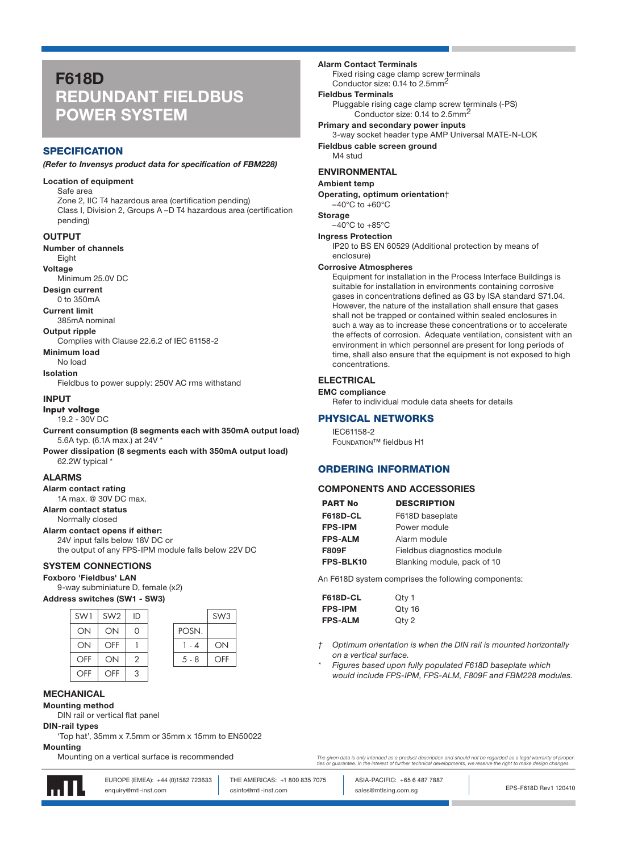# F618D REDUNDANT FIELDBUS POWER SYSTEM

## **SPECIFICATION**

#### (Refer to Invensys product data for specification of FBM228)

#### Location of equipment

Safe area Zone 2, IIC T4 hazardous area (certification pending) Class I, Division 2, Groups A –D T4 hazardous area (certification pending)

#### **OUTPUT**

Number of channels

## Eight

Voltage

Minimum 25.0V DC Design current

0 to 350mA

Current limit

#### 385mA nominal

Output ripple

Complies with Clause 22.6.2 of IEC 61158-2 Minimum load

No load

Isolation

Fieldbus to power supply: 250V AC rms withstand

#### INPUT

**Input voltage**

19.2 - 30V DC

Current consumption (8 segments each with 350mA output load) 5.6A typ. (6.1A max.) at 24V \*

Power dissipation (8 segments each with 350mA output load) 62.2W typical \*

#### ALARMS

Alarm contact rating 1A max. @ 30V DC max.

Alarm contact status

Normally closed

Alarm contact opens if either: 24V input falls below 18V DC or the output of any FPS-IPM module falls below 22V DC

## SYSTEM CONNECTIONS

## Foxboro 'Fieldbus' LAN

9-way subminiature D, female (x2)

Address switches (SW1 - SW3)

| SW1 | SW <sub>2</sub> | ID |         | SW <sub>3</sub> |
|-----|-----------------|----|---------|-----------------|
| ON  | ON              | Ω  | POSN.   |                 |
| ON  | <b>OFF</b>      |    | 1 - 4   | ON              |
| OFF | ON              | 2  | $5 - 8$ | OFF             |
| OFF | OFF             | 3  |         |                 |

## **MECHANICAL**

Mounting method

DIN rail or vertical flat panel

DIN-rail types

'Top hat', 35mm x 7.5mm or 35mm x 15mm to EN50022

### **Mounting**

Mounting on a vertical surface is recommended



EUROPE (EMEA): +44 (0)1582 723633 THE AMERICAS: +1 800 835 7075 ASIA-PACIFIC: +65 6 487 7887

enquiry@mtl-inst.com **come computer come control** sales@mtlsing.com.sg

The given data is only intended as a product description and should not be regarded as a legal warranty of proper<br>ties or guarantee. In the interest of further technical developments, we reserve the right to make design ch

EPS-F618D Rev1 120410

Alarm Contact Terminals

Fixed rising cage clamp screw terminals Conductor size: 0.14 to 2.5mm2

#### Fieldbus Terminals

Pluggable rising cage clamp screw terminals (-PS) Conductor size: 0.14 to 2.5mm<sup>2</sup>

Primary and secondary power inputs 3-way socket header type AMP Universal MATE-N-LOK Fieldbus cable screen ground M4 stud

### ENVIRONMENTAL

#### Ambient temp

Operating, optimum orientation†

## $-40^{\circ}$ C to  $+60^{\circ}$ C

Storage

#### $-40^{\circ}$ C to  $+85^{\circ}$ C Ingress Protection

IP20 to BS EN 60529 (Additional protection by means of enclosure)

#### Corrosive Atmospheres

Equipment for installation in the Process Interface Buildings is suitable for installation in environments containing corrosive gases in concentrations defined as G3 by ISA standard S71.04. However, the nature of the installation shall ensure that gases shall not be trapped or contained within sealed enclosures in such a way as to increase these concentrations or to accelerate the effects of corrosion. Adequate ventilation, consistent with an environment in which personnel are present for long periods of time, shall also ensure that the equipment is not exposed to high concentrations.

### **ELECTRICAL**

EMC compliance Refer to individual module data sheets for details

## PHYSICAL NETWORKS

IEC61158-2 Foundation™ fieldbus H1

### ORDERING INFORMATION

#### COMPONENTS AND ACCESSORIES

| <b>PART No</b>  | <b>DESCRIPTION</b>          |
|-----------------|-----------------------------|
| <b>F618D-CL</b> | F618D baseplate             |
| <b>FPS-IPM</b>  | Power module                |
| <b>FPS-ALM</b>  | Alarm module                |
| <b>F809F</b>    | Fieldbus diagnostics module |
| FPS-BLK10       | Blanking module, pack of 10 |

An F618D system comprises the following components:

| <b>F618D-CL</b> | Qty 1  |
|-----------------|--------|
| <b>FPS-IPM</b>  | Qty 16 |
| <b>FPS-ALM</b>  | Qty 2  |

- Optimum orientation is when the DIN rail is mounted horizontally on a vertical surface.
- Figures based upon fully populated F618D baseplate which would include FPS-IPM, FPS-ALM, F809F and FBM228 modules.